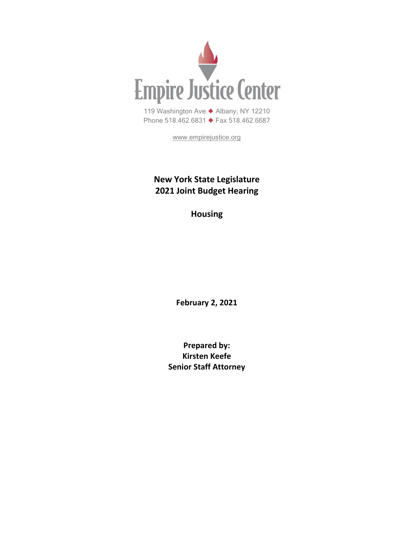

[www.empirejustice.org](http://www.empirejustice.org/)

# **New York State Legislature 2021 Joint Budget Hearing**

**Housing**

**February 2, 2021**

**Prepared by: Kirsten Keefe Senior Staff Attorney**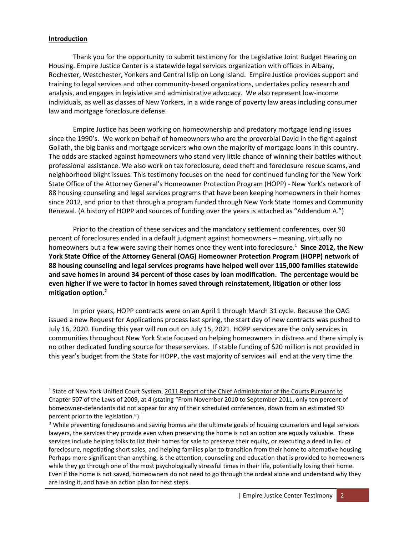#### **Introduction**

Thank you for the opportunity to submit testimony for the Legislative Joint Budget Hearing on Housing. Empire Justice Center is a statewide legal services organization with offices in Albany, Rochester, Westchester, Yonkers and Central Islip on Long Island. Empire Justice provides support and training to legal services and other community-based organizations, undertakes policy research and analysis, and engages in legislative and administrative advocacy. We also represent low-income individuals, as well as classes of New Yorkers, in a wide range of poverty law areas including consumer law and mortgage foreclosure defense.

Empire Justice has been working on homeownership and predatory mortgage lending issues since the 1990's. We work on behalf of homeowners who are the proverbial David in the fight against Goliath, the big banks and mortgage servicers who own the majority of mortgage loans in this country. The odds are stacked against homeowners who stand very little chance of winning their battles without professional assistance. We also work on tax foreclosure, deed theft and foreclosure rescue scams, and neighborhood blight issues. This testimony focuses on the need for continued funding for the New York State Office of the Attorney General's Homeowner Protection Program (HOPP) - New York's network of 88 housing counseling and legal services programs that have been keeping homeowners in their homes since 2012, and prior to that through a program funded through New York State Homes and Community Renewal. (A history of HOPP and sources of funding over the years is attached as "Addendum A.")

Prior to the creation of these services and the mandatory settlement conferences, over 90 percent of foreclosures ended in a default judgment against homeowners – meaning, virtually no homeowners but a few were saving their homes once they went into foreclosure.<sup>1</sup> **Since 2012, the New York State Office of the Attorney General (OAG) Homeowner Protection Program (HOPP) network of 88 housing counseling and legal services programs have helped well over 115,000 families statewide and save homes in around 34 percent of those cases by loan modification. The percentage would be even higher if we were to factor in homes saved through reinstatement, litigation or other loss mitigation option.<sup>2</sup>**

In prior years, HOPP contracts were on an April 1 through March 31 cycle. Because the OAG issued a new Request for Applications process last spring, the start day of new contracts was pushed to July 16, 2020. Funding this year will run out on July 15, 2021. HOPP services are the only services in communities throughout New York State focused on helping homeowners in distress and there simply is no other dedicated funding source for these services. If stable funding of \$20 million is not provided in this year's budget from the State for HOPP, the vast majority of services will end at the very time the

<sup>&</sup>lt;sup>1</sup> State of New York Unified Court System, 2011 Report of the Chief Administrator of the Courts Pursuant to Chapter 507 of the Laws of 2009, at 4 (stating "From November 2010 to September 2011, only ten percent of homeowner-defendants did not appear for any of their scheduled conferences, down from an estimated 90 percent prior to the legislation.").

<sup>2</sup> While preventing foreclosures and saving homes are the ultimate goals of housing counselors and legal services lawyers, the services they provide even when preserving the home is not an option are equally valuable. These services include helping folks to list their homes for sale to preserve their equity, or executing a deed in lieu of foreclosure, negotiating short sales, and helping families plan to transition from their home to alternative housing. Perhaps more significant than anything, is the attention, counseling and education that is provided to homeowners while they go through one of the most psychologically stressful times in their life, potentially losing their home. Even if the home is not saved, homeowners do not need to go through the ordeal alone and understand why they are losing it, and have an action plan for next steps.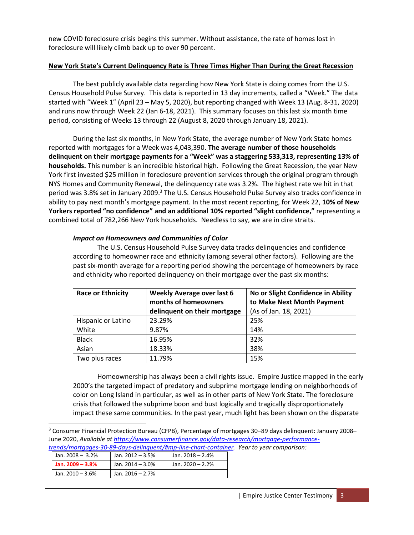new COVID foreclosure crisis begins this summer. Without assistance, the rate of homes lost in foreclosure will likely climb back up to over 90 percent.

#### **New York State's Current Delinquency Rate is Three Times Higher Than During the Great Recession**

The best publicly available data regarding how New York State is doing comes from the U.S. Census Household Pulse Survey. This data is reported in 13 day increments, called a "Week." The data started with "Week 1" (April 23 – May 5, 2020), but reporting changed with Week 13 (Aug. 8-31, 2020) and runs now through Week 22 (Jan 6-18, 2021). This summary focuses on this last six month time period, consisting of Weeks 13 through 22 (August 8, 2020 through January 18, 2021).

During the last six months, in New York State, the average number of New York State homes reported with mortgages for a Week was 4,043,390. **The average number of those households delinquent on their mortgage payments for a "Week" was a staggering 533,313, representing 13% of households.** This number is an incredible historical high. Following the Great Recession, the year New York first invested \$25 million in foreclosure prevention services through the original program through NYS Homes and Community Renewal, the delinquency rate was 3.2%. The highest rate we hit in that period was 3.8% set in January 2009.<sup>3</sup> The U.S. Census Household Pulse Survey also tracks confidence in ability to pay next month's mortgage payment. In the most recent reporting, for Week 22, **10% of New Yorkers reported "no confidence" and an additional 10% reported "slight confidence,"** representing a combined total of 782,266 New York households. Needless to say, we are in dire straits.

#### *Impact on Homeowners and Communities of Color*

The U.S. Census Household Pulse Survey data tracks delinquencies and confidence according to homeowner race and ethnicity (among several other factors). Following are the past six-month average for a reporting period showing the percentage of homeowners by race and ethnicity who reported delinquency on their mortgage over the past six months:

| <b>Race or Ethnicity</b> | <b>Weekly Average over last 6</b><br>months of homeowners<br>delinquent on their mortgage | No or Slight Confidence in Ability<br>to Make Next Month Payment<br>(As of Jan. 18, 2021) |
|--------------------------|-------------------------------------------------------------------------------------------|-------------------------------------------------------------------------------------------|
| Hispanic or Latino       | 23.29%                                                                                    | 25%                                                                                       |
| White                    | 9.87%                                                                                     | 14%                                                                                       |
| <b>Black</b>             | 16.95%                                                                                    | 32%                                                                                       |
| Asian                    | 18.33%                                                                                    | 38%                                                                                       |
| Two plus races           | 11.79%                                                                                    | 15%                                                                                       |

Homeownership has always been a civil rights issue. Empire Justice mapped in the early 2000's the targeted impact of predatory and subprime mortgage lending on neighborhoods of color on Long Island in particular, as well as in other parts of New York State. The foreclosure crisis that followed the subprime boon and bust logically and tragically disproportionately impact these same communities. In the past year, much light has been shown on the disparate

*[trends/mortgages-30-89-days-delinquent/#mp-line-chart-container.](https://www.consumerfinance.gov/data-research/mortgage-performance-trends/mortgages-30-89-days-delinquent/#mp-line-chart-container) Year to year comparison:*

| Jan. $2008 - 3.2\%$ | Jan. 2012 - 3.5%    | Jan. 2018 - 2.4% |
|---------------------|---------------------|------------------|
| Jan. $2009 - 3.8\%$ | Jan. $2014 - 3.0\%$ | Jan. 2020 - 2.2% |
| Jan. 2010 - 3.6%    | Jan. $2016 - 2.7\%$ |                  |

<sup>3</sup> Consumer Financial Protection Bureau (CFPB), Percentage of mortgages 30–89 days delinquent: January 2008– June 2020, *Available a[t https://www.consumerfinance.gov/data-research/mortgage-performance-](https://www.consumerfinance.gov/data-research/mortgage-performance-trends/mortgages-30-89-days-delinquent/#mp-line-chart-container)*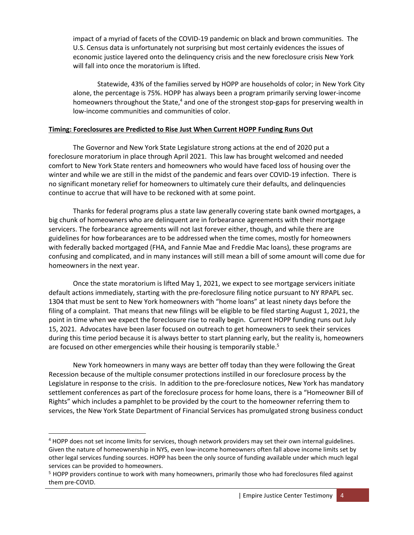impact of a myriad of facets of the COVID-19 pandemic on black and brown communities. The U.S. Census data is unfortunately not surprising but most certainly evidences the issues of economic justice layered onto the delinquency crisis and the new foreclosure crisis New York will fall into once the moratorium is lifted.

Statewide, 43% of the families served by HOPP are households of color; in New York City alone, the percentage is 75%. HOPP has always been a program primarily serving lower-income homeowners throughout the State,<sup>4</sup> and one of the strongest stop-gaps for preserving wealth in low-income communities and communities of color.

#### **Timing: Foreclosures are Predicted to Rise Just When Current HOPP Funding Runs Out**

The Governor and New York State Legislature strong actions at the end of 2020 put a foreclosure moratorium in place through April 2021. This law has brought welcomed and needed comfort to New York State renters and homeowners who would have faced loss of housing over the winter and while we are still in the midst of the pandemic and fears over COVID-19 infection. There is no significant monetary relief for homeowners to ultimately cure their defaults, and delinquencies continue to accrue that will have to be reckoned with at some point.

Thanks for federal programs plus a state law generally covering state bank owned mortgages, a big chunk of homeowners who are delinquent are in forbearance agreements with their mortgage servicers. The forbearance agreements will not last forever either, though, and while there are guidelines for how forbearances are to be addressed when the time comes, mostly for homeowners with federally backed mortgaged (FHA, and Fannie Mae and Freddie Mac loans), these programs are confusing and complicated, and in many instances will still mean a bill of some amount will come due for homeowners in the next year.

Once the state moratorium is lifted May 1, 2021, we expect to see mortgage servicers initiate default actions immediately, starting with the pre-foreclosure filing notice pursuant to NY RPAPL sec. 1304 that must be sent to New York homeowners with "home loans" at least ninety days before the filing of a complaint. That means that new filings will be eligible to be filed starting August 1, 2021, the point in time when we expect the foreclosure rise to really begin. Current HOPP funding runs out July 15, 2021. Advocates have been laser focused on outreach to get homeowners to seek their services during this time period because it is always better to start planning early, but the reality is, homeowners are focused on other emergencies while their housing is temporarily stable.<sup>5</sup>

New York homeowners in many ways are better off today than they were following the Great Recession because of the multiple consumer protections instilled in our foreclosure process by the Legislature in response to the crisis. In addition to the pre-foreclosure notices, New York has mandatory settlement conferences as part of the foreclosure process for home loans, there is a "Homeowner Bill of Rights" which includes a pamphlet to be provided by the court to the homeowner referring them to services, the New York State Department of Financial Services has promulgated strong business conduct

<sup>4</sup> HOPP does not set income limits for services, though network providers may set their own internal guidelines. Given the nature of homeownership in NYS, even low-income homeowners often fall above income limits set by other legal services funding sources. HOPP has been the only source of funding available under which much legal services can be provided to homeowners.

<sup>&</sup>lt;sup>5</sup> HOPP providers continue to work with many homeowners, primarily those who had foreclosures filed against them pre-COVID.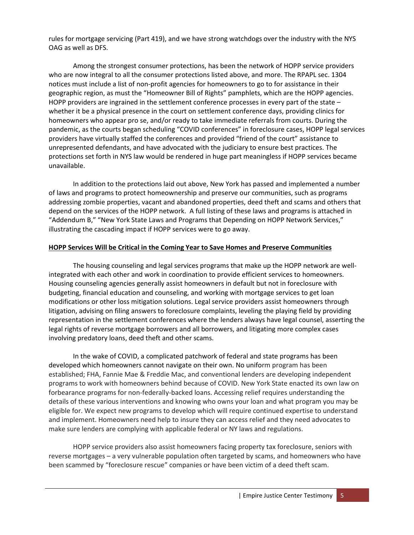rules for mortgage servicing (Part 419), and we have strong watchdogs over the industry with the NYS OAG as well as DFS.

Among the strongest consumer protections, has been the network of HOPP service providers who are now integral to all the consumer protections listed above, and more. The RPAPL sec. 1304 notices must include a list of non-profit agencies for homeowners to go to for assistance in their geographic region, as must the "Homeowner Bill of Rights" pamphlets, which are the HOPP agencies. HOPP providers are ingrained in the settlement conference processes in every part of the state – whether it be a physical presence in the court on settlement conference days, providing clinics for homeowners who appear pro se, and/or ready to take immediate referrals from courts. During the pandemic, as the courts began scheduling "COVID conferences" in foreclosure cases, HOPP legal services providers have virtually staffed the conferences and provided "friend of the court" assistance to unrepresented defendants, and have advocated with the judiciary to ensure best practices. The protections set forth in NYS law would be rendered in huge part meaningless if HOPP services became unavailable.

In addition to the protections laid out above, New York has passed and implemented a number of laws and programs to protect homeownership and preserve our communities, such as programs addressing zombie properties, vacant and abandoned properties, deed theft and scams and others that depend on the services of the HOPP network. A full listing of these laws and programs is attached in "Addendum B," "New York State Laws and Programs that Depending on HOPP Network Services," illustrating the cascading impact if HOPP services were to go away.

#### **HOPP Services Will be Critical in the Coming Year to Save Homes and Preserve Communities**

The housing counseling and legal services programs that make up the HOPP network are wellintegrated with each other and work in coordination to provide efficient services to homeowners. Housing counseling agencies generally assist homeowners in default but not in foreclosure with budgeting, financial education and counseling, and working with mortgage services to get loan modifications or other loss mitigation solutions. Legal service providers assist homeowners through litigation, advising on filing answers to foreclosure complaints, leveling the playing field by providing representation in the settlement conferences where the lenders always have legal counsel, asserting the legal rights of reverse mortgage borrowers and all borrowers, and litigating more complex cases involving predatory loans, deed theft and other scams.

In the wake of COVID, a complicated patchwork of federal and state programs has been developed which homeowners cannot navigate on their own. No uniform program has been established; FHA, Fannie Mae & Freddie Mac, and conventional lenders are developing independent programs to work with homeowners behind because of COVID. New York State enacted its own law on forbearance programs for non-federally-backed loans. Accessing relief requires understanding the details of these various interventions and knowing who owns your loan and what program you may be eligible for. We expect new programs to develop which will require continued expertise to understand and implement. Homeowners need help to insure they can access relief and they need advocates to make sure lenders are complying with applicable federal or NY laws and regulations.

HOPP service providers also assist homeowners facing property tax foreclosure, seniors with reverse mortgages – a very vulnerable population often targeted by scams, and homeowners who have been scammed by "foreclosure rescue" companies or have been victim of a deed theft scam.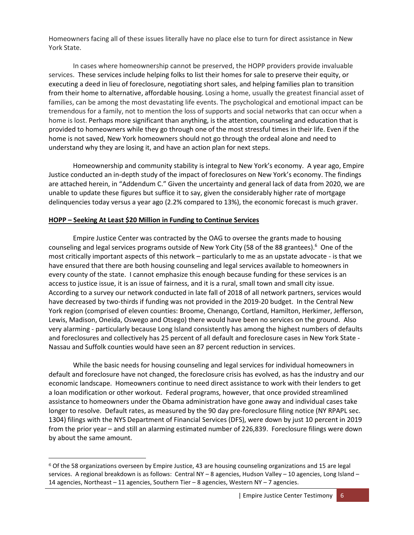Homeowners facing all of these issues literally have no place else to turn for direct assistance in New York State.

In cases where homeownership cannot be preserved, the HOPP providers provide invaluable services. These services include helping folks to list their homes for sale to preserve their equity, or executing a deed in lieu of foreclosure, negotiating short sales, and helping families plan to transition from their home to alternative, affordable housing. Losing a home, usually the greatest financial asset of families, can be among the most devastating life events. The psychological and emotional impact can be tremendous for a family, not to mention the loss of supports and social networks that can occur when a home is lost. Perhaps more significant than anything, is the attention, counseling and education that is provided to homeowners while they go through one of the most stressful times in their life. Even if the home is not saved, New York homeowners should not go through the ordeal alone and need to understand why they are losing it, and have an action plan for next steps.

Homeownership and community stability is integral to New York's economy. A year ago, Empire Justice conducted an in-depth study of the impact of foreclosures on New York's economy. The findings are attached herein, in "Addendum C." Given the uncertainty and general lack of data from 2020, we are unable to update these figures but suffice it to say, given the considerably higher rate of mortgage delinquencies today versus a year ago (2.2% compared to 13%), the economic forecast is much graver.

#### **HOPP – Seeking At Least \$20 Million in Funding to Continue Services**

Empire Justice Center was contracted by the OAG to oversee the grants made to housing counseling and legal services programs outside of New York City (58 of the 88 grantees).<sup>6</sup> One of the most critically important aspects of this network – particularly to me as an upstate advocate - is that we have ensured that there are both housing counseling and legal services available to homeowners in every county of the state. I cannot emphasize this enough because funding for these services is an access to justice issue, it is an issue of fairness, and it is a rural, small town and small city issue. According to a survey our network conducted in late fall of 2018 of all network partners, services would have decreased by two-thirds if funding was not provided in the 2019-20 budget. In the Central New York region (comprised of eleven counties: Broome, Chenango, Cortland, Hamilton, Herkimer, Jefferson, Lewis, Madison, Oneida, Oswego and Otsego) there would have been no services on the ground. Also very alarming - particularly because Long Island consistently has among the highest numbers of defaults and foreclosures and collectively has 25 percent of all default and foreclosure cases in New York State - Nassau and Suffolk counties would have seen an 87 percent reduction in services.

While the basic needs for housing counseling and legal services for individual homeowners in default and foreclosure have not changed, the foreclosure crisis has evolved, as has the industry and our economic landscape. Homeowners continue to need direct assistance to work with their lenders to get a loan modification or other workout. Federal programs, however, that once provided streamlined assistance to homeowners under the Obama administration have gone away and individual cases take longer to resolve. Default rates, as measured by the 90 day pre-foreclosure filing notice (NY RPAPL sec. 1304) filings with the NYS Department of Financial Services (DFS), were down by just 10 percent in 2019 from the prior year – and still an alarming estimated number of 226,839. Foreclosure filings were down by about the same amount.

<sup>6</sup> Of the 58 organizations overseen by Empire Justice, 43 are housing counseling organizations and 15 are legal services. A regional breakdown is as follows: Central NY – 8 agencies, Hudson Valley – 10 agencies, Long Island – 14 agencies, Northeast – 11 agencies, Southern Tier – 8 agencies, Western NY – 7 agencies.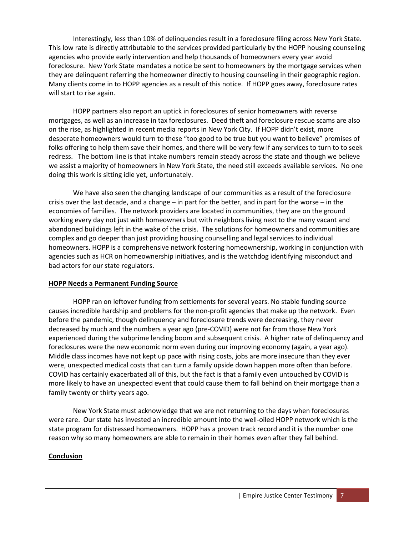Interestingly, less than 10% of delinquencies result in a foreclosure filing across New York State. This low rate is directly attributable to the services provided particularly by the HOPP housing counseling agencies who provide early intervention and help thousands of homeowners every year avoid foreclosure. New York State mandates a notice be sent to homeowners by the mortgage services when they are delinquent referring the homeowner directly to housing counseling in their geographic region. Many clients come in to HOPP agencies as a result of this notice. If HOPP goes away, foreclosure rates will start to rise again.

HOPP partners also report an uptick in foreclosures of senior homeowners with reverse mortgages, as well as an increase in tax foreclosures. Deed theft and foreclosure rescue scams are also on the rise, as highlighted in recent media reports in New York City. If HOPP didn't exist, more desperate homeowners would turn to these "too good to be true but you want to believe" promises of folks offering to help them save their homes, and there will be very few if any services to turn to to seek redress. The bottom line is that intake numbers remain steady across the state and though we believe we assist a majority of homeowners in New York State, the need still exceeds available services. No one doing this work is sitting idle yet, unfortunately.

We have also seen the changing landscape of our communities as a result of the foreclosure crisis over the last decade, and a change – in part for the better, and in part for the worse – in the economies of families. The network providers are located in communities, they are on the ground working every day not just with homeowners but with neighbors living next to the many vacant and abandoned buildings left in the wake of the crisis. The solutions for homeowners and communities are complex and go deeper than just providing housing counselling and legal services to individual homeowners. HOPP is a comprehensive network fostering homeownership, working in conjunction with agencies such as HCR on homeownership initiatives, and is the watchdog identifying misconduct and bad actors for our state regulators.

#### **HOPP Needs a Permanent Funding Source**

HOPP ran on leftover funding from settlements for several years. No stable funding source causes incredible hardship and problems for the non-profit agencies that make up the network. Even before the pandemic, though delinquency and foreclosure trends were decreasing, they never decreased by much and the numbers a year ago (pre-COVID) were not far from those New York experienced during the subprime lending boom and subsequent crisis. A higher rate of delinquency and foreclosures were the new economic norm even during our improving economy (again, a year ago). Middle class incomes have not kept up pace with rising costs, jobs are more insecure than they ever were, unexpected medical costs that can turn a family upside down happen more often than before. COVID has certainly exacerbated all of this, but the fact is that a family even untouched by COVID is more likely to have an unexpected event that could cause them to fall behind on their mortgage than a family twenty or thirty years ago.

New York State must acknowledge that we are not returning to the days when foreclosures were rare. Our state has invested an incredible amount into the well-oiled HOPP network which is the state program for distressed homeowners. HOPP has a proven track record and it is the number one reason why so many homeowners are able to remain in their homes even after they fall behind.

#### **Conclusion**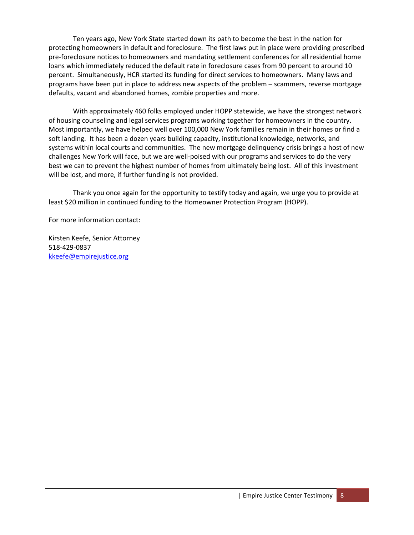Ten years ago, New York State started down its path to become the best in the nation for protecting homeowners in default and foreclosure. The first laws put in place were providing prescribed pre-foreclosure notices to homeowners and mandating settlement conferences for all residential home loans which immediately reduced the default rate in foreclosure cases from 90 percent to around 10 percent. Simultaneously, HCR started its funding for direct services to homeowners. Many laws and programs have been put in place to address new aspects of the problem – scammers, reverse mortgage defaults, vacant and abandoned homes, zombie properties and more.

With approximately 460 folks employed under HOPP statewide, we have the strongest network of housing counseling and legal services programs working together for homeowners in the country. Most importantly, we have helped well over 100,000 New York families remain in their homes or find a soft landing. It has been a dozen years building capacity, institutional knowledge, networks, and systems within local courts and communities. The new mortgage delinquency crisis brings a host of new challenges New York will face, but we are well-poised with our programs and services to do the very best we can to prevent the highest number of homes from ultimately being lost. All of this investment will be lost, and more, if further funding is not provided.

Thank you once again for the opportunity to testify today and again, we urge you to provide at least \$20 million in continued funding to the Homeowner Protection Program (HOPP).

For more information contact:

Kirsten Keefe, Senior Attorney 518-429-0837 [kkeefe@empirejustice.org](mailto:kkeefe@empirejustice.org)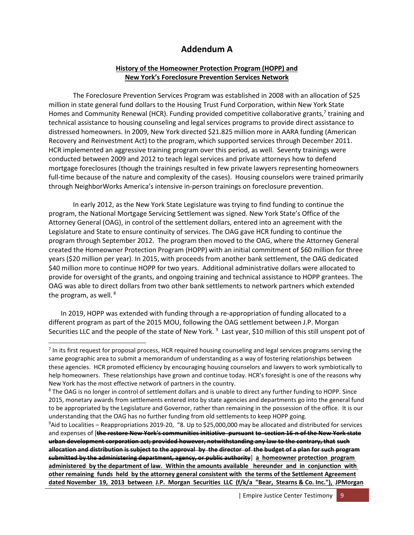### **Addendum A**

#### **History of the Homeowner Protection Program (HOPP) and New York's Foreclosure Prevention Services Network**

The Foreclosure Prevention Services Program was established in 2008 with an allocation of \$25 million in state general fund dollars to the Housing Trust Fund Corporation, within New York State Homes and Community Renewal (HCR). Funding provided competitive collaborative grants,<sup>7</sup> training and technical assistance to housing counseling and legal services programs to provide direct assistance to distressed homeowners. In 2009, New York directed \$21.825 million more in AARA funding (American Recovery and Reinvestment Act) to the program, which supported services through December 2011. HCR implemented an aggressive training program over this period, as well. Seventy trainings were conducted between 2009 and 2012 to teach legal services and private attorneys how to defend mortgage foreclosures (though the trainings resulted in few private lawyers representing homeowners full-time because of the nature and complexity of the cases). Housing counselors were trained primarily through NeighborWorks America's intensive in-person trainings on foreclosure prevention.

In early 2012, as the New York State Legislature was trying to find funding to continue the program, the National Mortgage Servicing Settlement was signed. New York State's Office of the Attorney General (OAG), in control of the settlement dollars, entered into an agreement with the Legislature and State to ensure continuity of services. The OAG gave HCR funding to continue the program through September 2012. The program then moved to the OAG, where the Attorney General created the Homeowner Protection Program (HOPP) with an initial commitment of \$60 million for three years (\$20 million per year). In 2015, with proceeds from another bank settlement, the OAG dedicated \$40 million more to continue HOPP for two years. Additional administrative dollars were allocated to provide for oversight of the grants, and ongoing training and technical assistance to HOPP grantees. The OAG was able to direct dollars from two other bank settlements to network partners which extended the program, as well.<sup>8</sup>

In 2019, HOPP was extended with funding through a re-appropriation of funding allocated to a different program as part of the 2015 MOU, following the OAG settlement between J.P. Morgan Securities LLC and the people of the state of New York. <sup>9</sup> Last year, \$10 million of this still unspent pot of

<sup>&</sup>lt;sup>7</sup> In its first request for proposal process, HCR required housing counseling and legal services programs serving the same geographic area to submit a memorandum of understanding as a way of fostering relationships between these agencies. HCR promoted efficiency by encouraging housing counselors and lawyers to work symbiotically to help homeowners. These relationships have grown and continue today. HCR's foresight is one of the reasons why New York has the most effective network of partners in the country.

<sup>&</sup>lt;sup>8</sup> The OAG is no longer in control of settlement dollars and is unable to direct any further funding to HOPP. Since 2015, monetary awards from settlements entered into by state agencies and departments go into the general fund to be appropriated by the Legislature and Governor, rather than remaining in the possession of the office. It is our understanding that the OAG has no further funding from old settlements to keep HOPP going.

<sup>9</sup>Aid to Localities – Reappropriations 2019-20, "8. Up to \$25,000,000 may be allocated and distributed for services and expenses of [**the restore New York's communities initiative pursuant to section 16-n of the New York state urban development corporation act; provided however, notwithstanding any law to the contrary, that such allocation and distribution is subject to the approval by the director of the budget of a plan for such program submitted by the administering department, agency, or public authority**] **a homeowner protection program administered by the department of law. Within the amounts available hereunder and in conjunction with other remaining funds held by the attorney general consistent with the terms of the Settlement Agreement dated November 19, 2013 between J.P. Morgan Securities LLC (f/k/a "Bear, Stearns & Co. Inc."), JPMorgan**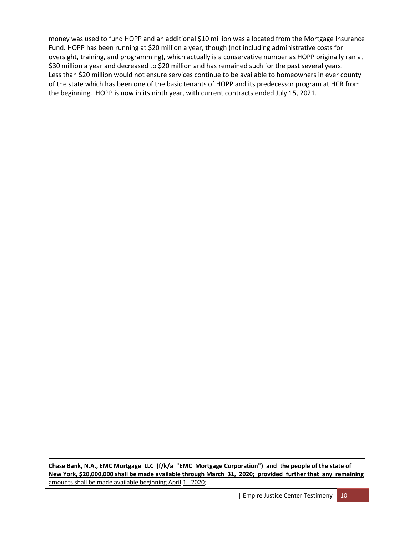money was used to fund HOPP and an additional \$10 million was allocated from the Mortgage Insurance Fund. HOPP has been running at \$20 million a year, though (not including administrative costs for oversight, training, and programming), which actually is a conservative number as HOPP originally ran at \$30 million a year and decreased to \$20 million and has remained such for the past several years. Less than \$20 million would not ensure services continue to be available to homeowners in ever county of the state which has been one of the basic tenants of HOPP and its predecessor program at HCR from the beginning. HOPP is now in its ninth year, with current contracts ended July 15, 2021.

**Chase Bank, N.A., EMC Mortgage LLC (f/k/a "EMC Mortgage Corporation") and the people of the state of New York, \$20,000,000 shall be made available through March 31, 2020; provided further that any remaining**  amounts shall be made available beginning April 1, 2020;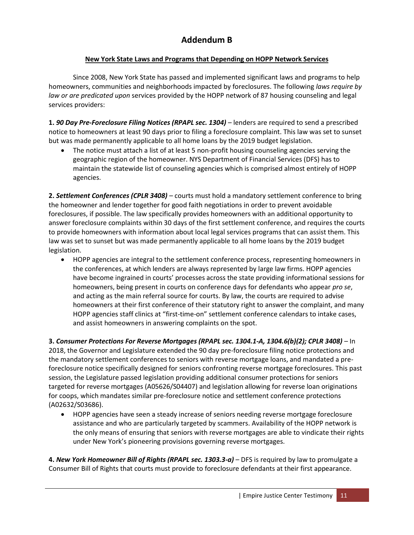## **Addendum B**

### **New York State Laws and Programs that Depending on HOPP Network Services**

Since 2008, New York State has passed and implemented significant laws and programs to help homeowners, communities and neighborhoods impacted by foreclosures. The following *laws require by law or are predicated upon* services provided by the HOPP network of 87 housing counseling and legal services providers:

**1.** *90 Day Pre-Foreclosure Filing Notices (RPAPL sec. 1304)* – lenders are required to send a prescribed notice to homeowners at least 90 days prior to filing a foreclosure complaint. This law was set to sunset but was made permanently applicable to all home loans by the 2019 budget legislation.

• The notice must attach a list of at least 5 non-profit housing counseling agencies serving the geographic region of the homeowner. NYS Department of Financial Services (DFS) has to maintain the statewide list of counseling agencies which is comprised almost entirely of HOPP agencies.

**2.** *Settlement Conferences (CPLR 3408) –* courts must hold a mandatory settlement conference to bring the homeowner and lender together for good faith negotiations in order to prevent avoidable foreclosures, if possible. The law specifically provides homeowners with an additional opportunity to answer foreclosure complaints within 30 days of the first settlement conference, and requires the courts to provide homeowners with information about local legal services programs that can assist them. This law was set to sunset but was made permanently applicable to all home loans by the 2019 budget legislation.

• HOPP agencies are integral to the settlement conference process, representing homeowners in the conferences, at which lenders are always represented by large law firms. HOPP agencies have become ingrained in courts' processes across the state providing informational sessions for homeowners, being present in courts on conference days for defendants who appear *pro se*, and acting as the main referral source for courts. By law, the courts are required to advise homeowners at their first conference of their statutory right to answer the complaint, and many HOPP agencies staff clinics at "first-time-on" settlement conference calendars to intake cases, and assist homeowners in answering complaints on the spot.

**3.** *Consumer Protections For Reverse Mortgages (RPAPL sec. 1304.1-A, 1304.6(b)(2); CPLR 3408)* – In 2018, the Governor and Legislature extended the 90 day pre-foreclosure filing notice protections and the mandatory settlement conferences to seniors with reverse mortgage loans, and mandated a preforeclosure notice specifically designed for seniors confronting reverse mortgage foreclosures. This past session, the Legislature passed legislation providing additional consumer protections for seniors targeted for reverse mortgages (A05626/S04407) and legislation allowing for reverse loan originations for coops, which mandates similar pre-foreclosure notice and settlement conference protections (A02632/S03686).

• HOPP agencies have seen a steady increase of seniors needing reverse mortgage foreclosure assistance and who are particularly targeted by scammers. Availability of the HOPP network is the only means of ensuring that seniors with reverse mortgages are able to vindicate their rights under New York's pioneering provisions governing reverse mortgages.

**4.** *New York Homeowner Bill of Rights (RPAPL sec. 1303.3-a)* **– DFS is required by law to promulgate a** Consumer Bill of Rights that courts must provide to foreclosure defendants at their first appearance.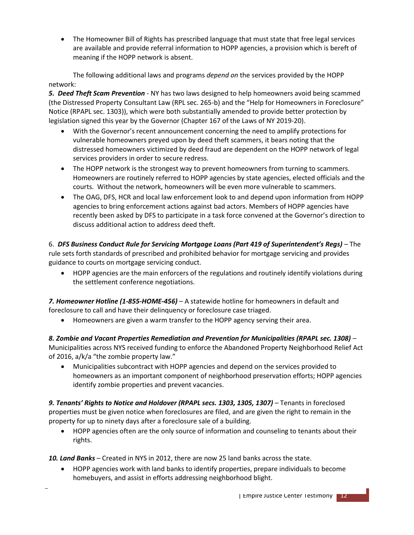• The Homeowner Bill of Rights has prescribed language that must state that free legal services are available and provide referral information to HOPP agencies, a provision which is bereft of meaning if the HOPP network is absent.

The following additional laws and programs *depend on* the services provided by the HOPP network:

*5. Deed Theft Scam Prevention -* NY has two laws designed to help homeowners avoid being scammed (the Distressed Property Consultant Law (RPL sec. 265-b) and the "Help for Homeowners in Foreclosure" Notice (RPAPL sec. 1303)), which were both substantially amended to provide better protection by legislation signed this year by the Governor (Chapter 167 of the Laws of NY 2019-20).

- With the Governor's recent announcement concerning the need to amplify protections for vulnerable homeowners preyed upon by deed theft scammers, it bears noting that the distressed homeowners victimized by deed fraud are dependent on the HOPP network of legal services providers in order to secure redress.
- The HOPP network is the strongest way to prevent homeowners from turning to scammers. Homeowners are routinely referred to HOPP agencies by state agencies, elected officials and the courts. Without the network, homeowners will be even more vulnerable to scammers.
- The OAG, DFS, HCR and local law enforcement look to and depend upon information from HOPP agencies to bring enforcement actions against bad actors. Members of HOPP agencies have recently been asked by DFS to participate in a task force convened at the Governor's direction to discuss additional action to address deed theft.

6. *DFS Business Conduct Rule for Servicing Mortgage Loans (Part 419 of Superintendent's Regs)* – The rule sets forth standards of prescribed and prohibited behavior for mortgage servicing and provides guidance to courts on mortgage servicing conduct.

• HOPP agencies are the main enforcers of the regulations and routinely identify violations during the settlement conference negotiations.

*7. Homeowner Hotline (1-855-HOME-456)* – A statewide hotline for homeowners in default and foreclosure to call and have their delinquency or foreclosure case triaged.

• Homeowners are given a warm transfer to the HOPP agency serving their area.

*8. Zombie and Vacant Properties Remediation and Prevention for Municipalities (RPAPL sec. 1308)* – Municipalities across NYS received funding to enforce the Abandoned Property Neighborhood Relief Act of 2016, a/k/a "the zombie property law."

• Municipalities subcontract with HOPP agencies and depend on the services provided to homeowners as an important component of neighborhood preservation efforts; HOPP agencies identify zombie properties and prevent vacancies.

9. Tenants' Rights to Notice and Holdover (RPAPL secs. 1303, 1305, 1307) – Tenants in foreclosed properties must be given notice when foreclosures are filed, and are given the right to remain in the property for up to ninety days after a foreclosure sale of a building.

• HOPP agencies often are the only source of information and counseling to tenants about their rights.

*10. Land Banks* – Created in NYS in 2012, there are now 25 land banks across the state.

• HOPP agencies work with land banks to identify properties, prepare individuals to become homebuyers, and assist in efforts addressing neighborhood blight.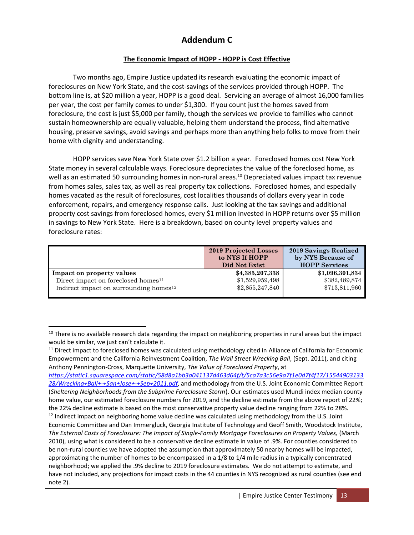## **Addendum C**

### **The Economic Impact of HOPP - HOPP is Cost Effective**

Two months ago, Empire Justice updated its research evaluating the economic impact of foreclosures on New York State, and the cost-savings of the services provided through HOPP. The bottom line is, at \$20 million a year, HOPP is a good deal. Servicing an average of almost 16,000 families per year, the cost per family comes to under \$1,300. If you count just the homes saved from foreclosure, the cost is just \$5,000 per family, though the services we provide to families who cannot sustain homeownership are equally valuable, helping them understand the process, find alternative housing, preserve savings, avoid savings and perhaps more than anything help folks to move from their home with dignity and understanding.

HOPP services save New York State over \$1.2 billion a year. Foreclosed homes cost New York State money in several calculable ways. Foreclosure depreciates the value of the foreclosed home, as well as an estimated 50 surrounding homes in non-rural areas.<sup>10</sup> Depreciated values impact tax revenue from homes sales, sales tax, as well as real property tax collections. Foreclosed homes, and especially homes vacated as the result of foreclosures, cost localities thousands of dollars every year in code enforcement, repairs, and emergency response calls. Just looking at the tax savings and additional property cost savings from foreclosed homes, every \$1 million invested in HOPP returns over \$5 million in savings to New York State. Here is a breakdown, based on county level property values and foreclosure rates:

|                                                    | <b>2019 Projected Losses</b><br>to NYS If HOPP<br>Did Not Exist | 2019 Savings Realized<br>by NYS Because of<br><b>HOPP Services</b> |
|----------------------------------------------------|-----------------------------------------------------------------|--------------------------------------------------------------------|
| Impact on property values                          | \$4,385,207,338                                                 | \$1,096,301,834                                                    |
| Direct impact on foreclosed homes <sup>11</sup>    | \$1,529,959,498                                                 | \$382,489,874                                                      |
| Indirect impact on surrounding homes <sup>12</sup> | \$2,855,247,840                                                 | \$713,811,960                                                      |

 $11$  Direct impact to foreclosed homes was calculated using methodology cited in Alliance of California for Economic Empowerment and the California Reinvestment Coalition, *The Wall Street Wrecking Ball*, (Sept. 2011), and citing Anthony Pennington-Cross, Marquette University, *The Value of Foreclosed Property*, at

*[https://static1.squarespace.com/static/58d8a1bb3a041137d463d64f/t/5ca7a3c56e9a7f1e0d7f4f17/15544903133](https://static1.squarespace.com/static/58d8a1bb3a041137d463d64f/t/5ca7a3c56e9a7f1e0d7f4f17/1554490313328/Wrecking+Ball+-+San+Jose+-+Sep+2011.pdf) [28/Wrecking+Ball+-+San+Jose+-+Sep+2011.pdf](https://static1.squarespace.com/static/58d8a1bb3a041137d463d64f/t/5ca7a3c56e9a7f1e0d7f4f17/1554490313328/Wrecking+Ball+-+San+Jose+-+Sep+2011.pdf)*, and methodology from the U.S. Joint Economic Committee Report (*Sheltering Neighborhoods from the Subprime Foreclosure Storm*). Our estimates used Mundi index median county home value, our estimated foreclosure numbers for 2019, and the decline estimate from the above report of 22%; the 22% decline estimate is based on the most conservative property value decline ranging from 22% to 28%.  $12$  Indirect impact on neighboring home value decline was calculated using methodology from the U.S. Joint Economic Committee and Dan Immergluck, Georgia Institute of Technology and Geoff Smith, Woodstock Institute, *The External Costs of Foreclosure: The Impact of Single-Family Mortgage Foreclosures on Property Values,* (March 2010), using what is considered to be a conservative decline estimate in value of .9%. For counties considered to be non-rural counties we have adopted the assumption that approximately 50 nearby homes will be impacted, approximating the number of homes to be encompassed in a 1/8 to 1/4 mile radius in a typically concentrated neighborhood; we applied the .9% decline to 2019 foreclosure estimates. We do not attempt to estimate, and have not included, any projections for impact costs in the 44 counties in NYS recognized as rural counties (see end note 2).

<sup>&</sup>lt;sup>10</sup> There is no available research data regarding the impact on neighboring properties in rural areas but the impact would be similar, we just can't calculate it.